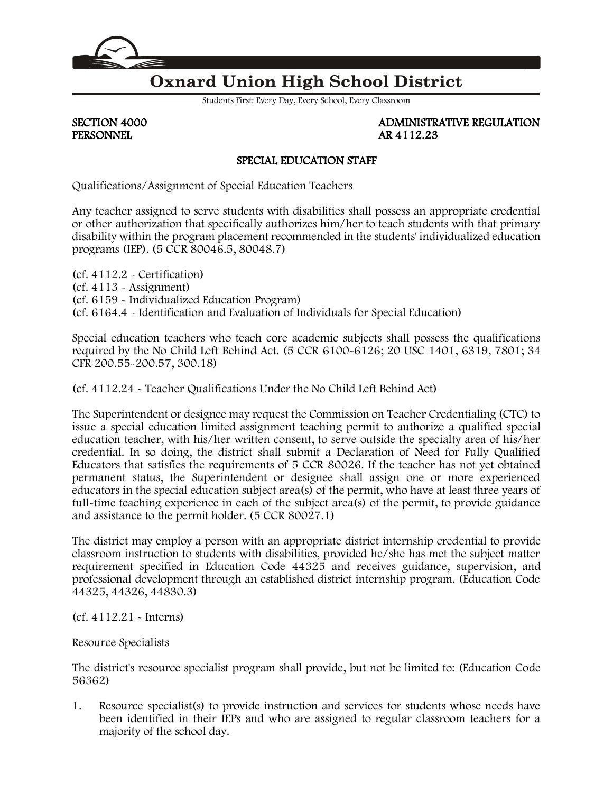

# **Oxnard Union High School District**

Students First: Every Day, Every School, Every Classroom

PERSONNEL AR 4112.23

SECTION 4000 ADMINISTRATIVE REGULATION

### SPECIAL EDUCATION STAFF

Qualifications/Assignment of Special Education Teachers

Any teacher assigned to serve students with disabilities shall possess an appropriate credential or other authorization that specifically authorizes him/her to teach students with that primary disability within the program placement recommended in the students' individualized education programs (IEP). (5 CCR [80046.5,](http://gamutonline.net/displayPolicy/189524/4) [80048.7\)](http://gamutonline.net/displayPolicy/591347/4)

(cf. [4112.2](http://gamutonline.net/displayPolicy/936010/4) - Certification)  $(cf. 4113 - Assignment)$  $(cf. 4113 - Assignment)$  $(cf. 4113 - Assignment)$ (cf. [6159](http://gamutonline.net/displayPolicy/292829/4) - Individualized Education Program) (cf. [6164.4](http://gamutonline.net/displayPolicy/292832/4) - Identification and Evaluation of Individuals for Special Education)

Special education teachers who teach core academic subjects shall possess the qualifications required by the No Child Left Behind Act. (5 CCR [6100](http://gamutonline.net/displayPolicy/324881/4)[-6126;](http://gamutonline.net/displayPolicy/356485/4) 20 USC [1401,](http://gamutonline.net/displayPolicy/364361/4) [6319,](http://gamutonline.net/displayPolicy/302985/4) [7801;](http://gamutonline.net/displayPolicy/302798/4) 34 CFR [200.55](http://gamutonline.net/displayPolicy/292619/4)[-200.57,](http://gamutonline.net/displayPolicy/292621/4) [300.18\)](http://gamutonline.net/displayPolicy/191436/4)

(cf. [4112.24](http://gamutonline.net/displayPolicy/324894/4) - Teacher Qualifications Under the No Child Left Behind Act)

The Superintendent or designee may request the Commission on Teacher Credentialing (CTC) to issue a special education limited assignment teaching permit to authorize a qualified special education teacher, with his/her written consent, to serve outside the specialty area of his/her credential. In so doing, the district shall submit a Declaration of Need for Fully Qualified Educators that satisfies the requirements of 5 CCR [80026.](http://gamutonline.net/displayPolicy/210936/4) If the teacher has not yet obtained permanent status, the Superintendent or designee shall assign one or more experienced educators in the special education subject area(s) of the permit, who have at least three years of full-time teaching experience in each of the subject area(s) of the permit, to provide guidance and assistance to the permit holder. (5 CCR [80027.1\)](http://gamutonline.net/displayPolicy/591346/4)

The district may employ a person with an appropriate district internship credential to provide classroom instruction to students with disabilities, provided he/she has met the subject matter requirement specified in Education Code [44325](http://gamutonline.net/displayPolicy/130678/4) and receives guidance, supervision, and professional development through an established district internship program. (Education Code [44325,](http://gamutonline.net/displayPolicy/130678/4) [44326,](http://gamutonline.net/displayPolicy/130679/4) [44830.3\)](http://gamutonline.net/displayPolicy/136190/4)

(cf. [4112.21](http://gamutonline.net/displayPolicy/936012/4) - Interns)

Resource Specialists

The district's resource specialist program shall provide, but not be limited to: (Education Code [56362\)](http://gamutonline.net/displayPolicy/137542/4)

1. Resource specialist(s) to provide instruction and services for students whose needs have been identified in their IEPs and who are assigned to regular classroom teachers for a majority of the school day.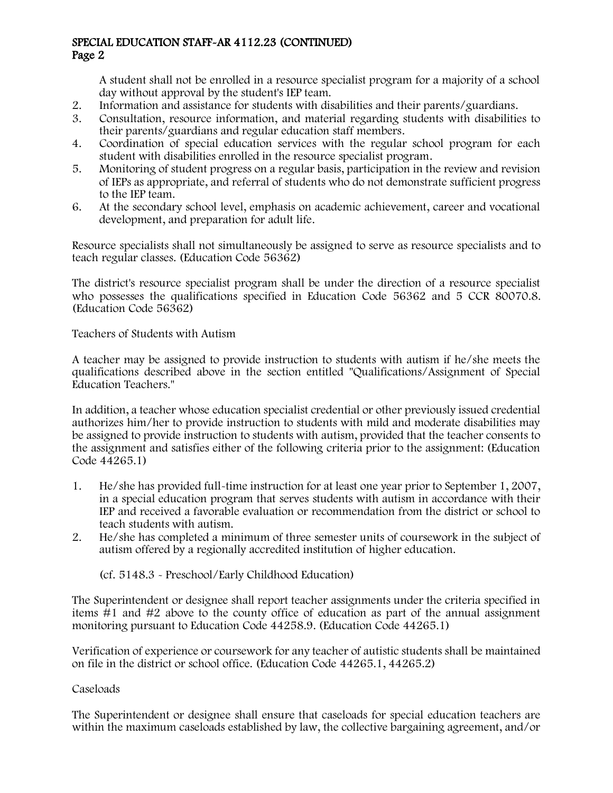## SPECIAL EDUCATION STAFF-AR 4112.23 (CONTINUED) Page 2

A student shall not be enrolled in a resource specialist program for a majority of a school day without approval by the student's IEP team.

- 2. Information and assistance for students with disabilities and their parents/guardians.
- 3. Consultation, resource information, and material regarding students with disabilities to their parents/guardians and regular education staff members.
- 4. Coordination of special education services with the regular school program for each student with disabilities enrolled in the resource specialist program.
- 5. Monitoring of student progress on a regular basis, participation in the review and revision of IEPs as appropriate, and referral of students who do not demonstrate sufficient progress to the IEP team.
- 6. At the secondary school level, emphasis on academic achievement, career and vocational development, and preparation for adult life.

Resource specialists shall not simultaneously be assigned to serve as resource specialists and to teach regular classes. (Education Code [56362\)](http://gamutonline.net/displayPolicy/137542/4)

The district's resource specialist program shall be under the direction of a resource specialist who possesses the qualifications specified in Education Code [56362](http://gamutonline.net/displayPolicy/137542/4) and 5 CCR [80070.8.](http://gamutonline.net/displayPolicy/189359/4) (Education Code [56362\)](http://gamutonline.net/displayPolicy/137542/4)

Teachers of Students with Autism

A teacher may be assigned to provide instruction to students with autism if he/she meets the qualifications described above in the section entitled "Qualifications/Assignment of Special Education Teachers."

In addition, a teacher whose education specialist credential or other previously issued credential authorizes him/her to provide instruction to students with mild and moderate disabilities may be assigned to provide instruction to students with autism, provided that the teacher consents to the assignment and satisfies either of the following criteria prior to the assignment: (Education Code [44265.1\)](http://gamutonline.net/displayPolicy/512375/4)

- 1. He/she has provided full-time instruction for at least one year prior to September 1, 2007, in a special education program that serves students with autism in accordance with their IEP and received a favorable evaluation or recommendation from the district or school to teach students with autism.
- 2. He/she has completed a minimum of three semester units of coursework in the subject of autism offered by a regionally accredited institution of higher education.

(cf. [5148.3](http://gamutonline.net/displayPolicy/559077/4) - Preschool/Early Childhood Education)

The Superintendent or designee shall report teacher assignments under the criteria specified in items #1 and #2 above to the county office of education as part of the annual assignment monitoring pursuant to Education Code [44258.9.](http://gamutonline.net/displayPolicy/133169/4) (Education Code [44265.1\)](http://gamutonline.net/displayPolicy/512375/4)

Verification of experience or coursework for any teacher of autistic students shall be maintained on file in the district or school office. (Education Code [44265.1,](http://gamutonline.net/displayPolicy/512375/4) [44265.2\)](http://gamutonline.net/displayPolicy/881239/4)

#### Caseloads

The Superintendent or designee shall ensure that caseloads for special education teachers are within the maximum caseloads established by law, the collective bargaining agreement, and/or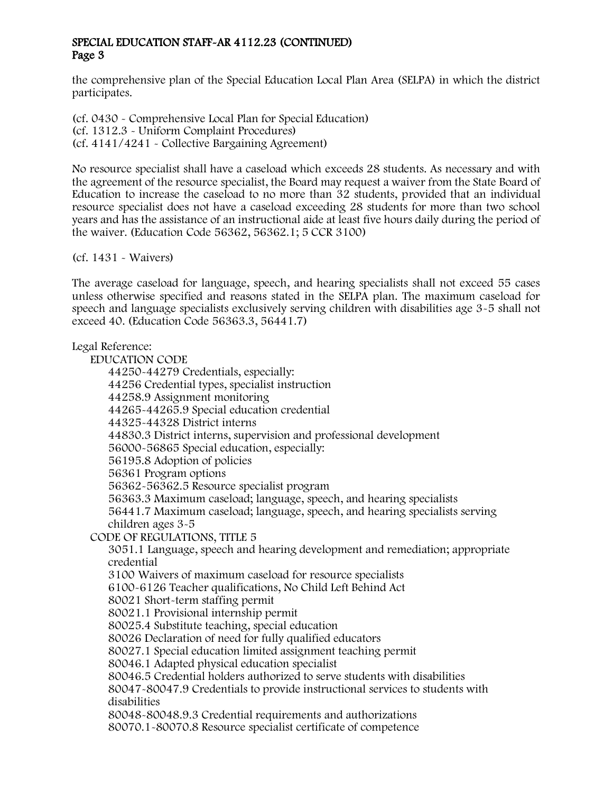#### SPECIAL EDUCATION STAFF-AR 4112.23 (CONTINUED) Page 3

the comprehensive plan of the Special Education Local Plan Area (SELPA) in which the district participates.

(cf. [0430](http://gamutonline.net/displayPolicy/303887/4) - Comprehensive Local Plan for Special Education) (cf. [1312.3](http://gamutonline.net/displayPolicy/390326/4) - Uniform Complaint Procedures) (cf. [4141/](http://gamutonline.net/displayPolicy/170793/4)[4241](http://gamutonline.net/displayPolicy/171316/4) - Collective Bargaining Agreement)

No resource specialist shall have a caseload which exceeds 28 students. As necessary and with the agreement of the resource specialist, the Board may request a waiver from the State Board of Education to increase the caseload to no more than 32 students, provided that an individual resource specialist does not have a caseload exceeding 28 students for more than two school years and has the assistance of an instructional aide at least five hours daily during the period of the waiver. (Education Code [56362,](http://gamutonline.net/displayPolicy/137542/4) [56362.1;](http://gamutonline.net/displayPolicy/133480/4) 5 CCR [3100\)](http://gamutonline.net/displayPolicy/210942/4)

(cf. [1431](http://gamutonline.net/displayPolicy/171601/4) - Waivers)

The average caseload for language, speech, and hearing specialists shall not exceed 55 cases unless otherwise specified and reasons stated in the SELPA plan. The maximum caseload for speech and language specialists exclusively serving children with disabilities age 3-5 shall not exceed 40. (Education Code [56363.3,](http://gamutonline.net/displayPolicy/133483/4) [56441.7\)](http://gamutonline.net/displayPolicy/133510/4)

Legal Reference:

EDUCATION CODE [44250](http://gamutonline.net/displayPolicy/130586/4)[-44279](http://gamutonline.net/displayPolicy/130646/4) Credentials, especially: [44256](http://gamutonline.net/displayPolicy/130603/4) Credential types, specialist instruction [44258.9](http://gamutonline.net/displayPolicy/133169/4) Assignment monitoring [44265](http://gamutonline.net/displayPolicy/130626/4)[-44265.9](http://gamutonline.net/displayPolicy/130630/4) Special education credential [44325](http://gamutonline.net/displayPolicy/130678/4)[-44328](http://gamutonline.net/displayPolicy/130681/4) District interns [44830.3](http://gamutonline.net/displayPolicy/136190/4) District interns, supervision and professional development [56000](http://gamutonline.net/displayPolicy/133383/4)[-56865](http://gamutonline.net/displayPolicy/133635/4) Special education, especially: [56195.8](http://gamutonline.net/displayPolicy/137536/4) Adoption of policies [56361](http://gamutonline.net/displayPolicy/138037/4) Program options [56362](http://gamutonline.net/displayPolicy/137542/4)[-56362.5](http://gamutonline.net/displayPolicy/133481/4) Resource specialist program [56363.3](http://gamutonline.net/displayPolicy/133483/4) Maximum caseload; language, speech, and hearing specialists [56441.7](http://gamutonline.net/displayPolicy/133510/4) Maximum caseload; language, speech, and hearing specialists serving children ages 3-5 CODE OF REGULATIONS, TITLE 5 [3051.1](http://gamutonline.net/displayPolicy/186897/4) Language, speech and hearing development and remediation; appropriate credential [3100](http://gamutonline.net/displayPolicy/210942/4) Waivers of maximum caseload for resource specialists [6100](http://gamutonline.net/displayPolicy/324881/4)[-6126](http://gamutonline.net/displayPolicy/356485/4) Teacher qualifications, No Child Left Behind Act [80021](http://gamutonline.net/displayPolicy/678194/4) Short-term staffing permit [80021.1](http://gamutonline.net/displayPolicy/678195/4) Provisional internship permit [80025.4](http://gamutonline.net/displayPolicy/211139/4) Substitute teaching, special education [80026](http://gamutonline.net/displayPolicy/210936/4) Declaration of need for fully qualified educators [80027.1](http://gamutonline.net/displayPolicy/591346/4) Special education limited assignment teaching permit [80046.1](http://gamutonline.net/displayPolicy/730769/4) Adapted physical education specialist [80046.5](http://gamutonline.net/displayPolicy/189524/4) Credential holders authorized to serve students with disabilities [80047](http://gamutonline.net/displayPolicy/730781/4)[-80047.9](http://gamutonline.net/displayPolicy/730790/4) Credentials to provide instructional services to students with disabilities [80048](http://gamutonline.net/displayPolicy/189342/4)[-80048.9.3](http://gamutonline.net/displayPolicy/634456/4) Credential requirements and authorizations [80070.1](http://gamutonline.net/displayPolicy/730773/4)[-80070.8](http://gamutonline.net/displayPolicy/189359/4) Resource specialist certificate of competence